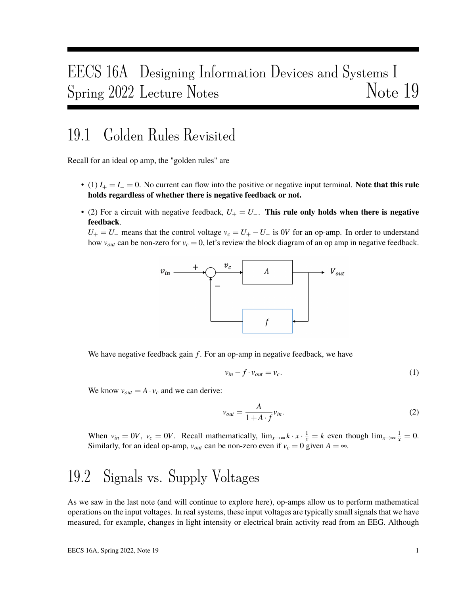# EECS 16A Designing Information Devices and Systems I Spring 2022 Lecture Notes Note 19

### 19.1 Golden Rules Revisited

Recall for an ideal op amp, the "golden rules" are

- (1)  $I_+ = I_- = 0$ . No current can flow into the positive or negative input terminal. Note that this rule holds regardless of whether there is negative feedback or not.
- (2) For a circuit with negative feedback,  $U_+ = U_-$ . This rule only holds when there is negative feedback.

 $U_+ = U_-$  means that the control voltage  $v_c = U_+ - U_-$  is 0*V* for an op-amp. In order to understand how  $v_{out}$  can be non-zero for  $v_c = 0$ , let's review the block diagram of an op amp in negative feedback.



We have negative feedback gain *f*. For an op-amp in negative feedback, we have

$$
v_{in} - f \cdot v_{out} = v_c. \tag{1}
$$

We know  $v_{out} = A \cdot v_c$  and we can derive:

$$
v_{out} = \frac{A}{1 + A \cdot f} v_{in}.
$$
 (2)

When  $v_{in} = 0V$ ,  $v_c = 0V$ . Recall mathematically,  $\lim_{x \to \infty} k \cdot x \cdot \frac{1}{x} = k$  even though  $\lim_{x \to \infty} \frac{1}{x} = 0$ . Similarly, for an ideal op-amp,  $v_{out}$  can be non-zero even if  $v_c = 0$  given  $A = \infty$ .

## 19.2 Signals vs. Supply Voltages

As we saw in the last note (and will continue to explore here), op-amps allow us to perform mathematical operations on the input voltages. In real systems, these input voltages are typically small signals that we have measured, for example, changes in light intensity or electrical brain activity read from an EEG. Although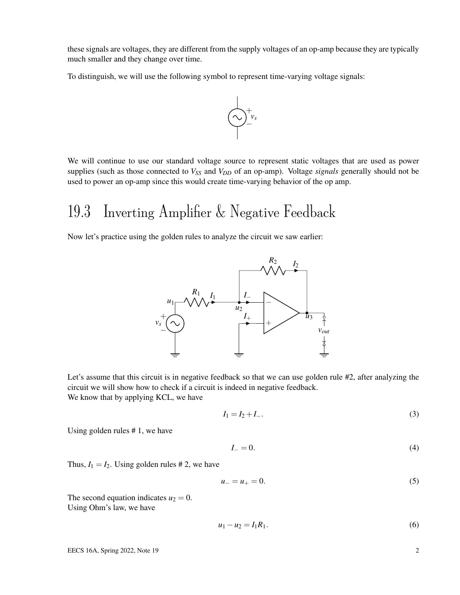these signals are voltages, they are different from the supply voltages of an op-amp because they are typically much smaller and they change over time.

To distinguish, we will use the following symbol to represent time-varying voltage signals:



We will continue to use our standard voltage source to represent static voltages that are used as power supplies (such as those connected to *VSS* and *VDD* of an op-amp). Voltage *signals* generally should not be used to power an op-amp since this would create time-varying behavior of the op amp.

## 19.3 Inverting Amplifier & Negative Feedback

Now let's practice using the golden rules to analyze the circuit we saw earlier:



Let's assume that this circuit is in negative feedback so that we can use golden rule #2, after analyzing the circuit we will show how to check if a circuit is indeed in negative feedback. We know that by applying KCL, we have

$$
I_1 = I_2 + I_-\tag{3}
$$

Using golden rules # 1, we have

$$
I_{-}=0.\t\t(4)
$$

Thus,  $I_1 = I_2$ . Using golden rules #2, we have

$$
u_{-} = u_{+} = 0. \tag{5}
$$

The second equation indicates  $u_2 = 0$ . Using Ohm's law, we have

$$
u_1 - u_2 = I_1 R_1. \tag{6}
$$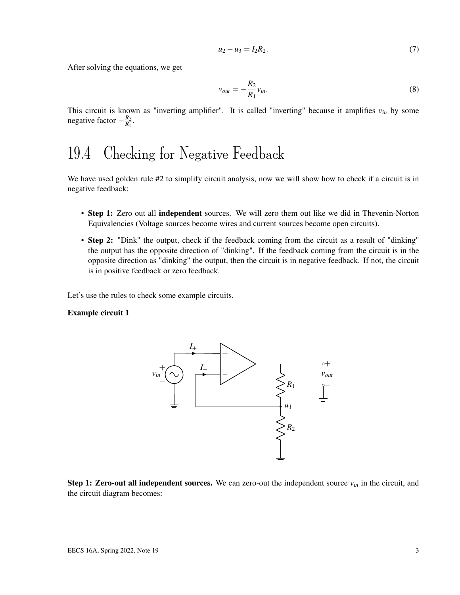$$
u_2 - u_3 = I_2 R_2. \tag{7}
$$

After solving the equations, we get

$$
v_{out} = -\frac{R_2}{R_1}v_{in}.\tag{8}
$$

This circuit is known as "inverting amplifier". It is called "inverting" because it amplifies  $v_{in}$  by some negative factor – <sup>*R*2</sup><sub>*R*2</sub>  $\frac{R_2}{R_1}$ .

### 19.4 Checking for Negative Feedback

We have used golden rule #2 to simplify circuit analysis, now we will show how to check if a circuit is in negative feedback:

- Step 1: Zero out all independent sources. We will zero them out like we did in Thevenin-Norton Equivalencies (Voltage sources become wires and current sources become open circuits).
- Step 2: "Dink" the output, check if the feedback coming from the circuit as a result of "dinking" the output has the opposite direction of "dinking". If the feedback coming from the circuit is in the opposite direction as "dinking" the output, then the circuit is in negative feedback. If not, the circuit is in positive feedback or zero feedback.

Let's use the rules to check some example circuits.

#### Example circuit 1



**Step 1: Zero-out all independent sources.** We can zero-out the independent source  $v_{in}$  in the circuit, and the circuit diagram becomes: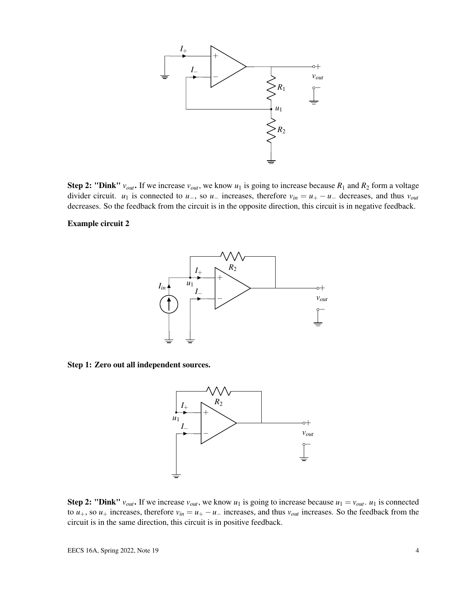

Step 2: "Dink"  $v_{out}$ . If we increase  $v_{out}$ , we know  $u_1$  is going to increase because  $R_1$  and  $R_2$  form a voltage divider circuit. *u*<sub>1</sub> is connected to *u*<sub>−</sub>, so *u*<sub>−</sub> increases, therefore  $v_{in} = u_{+} - u_{-}$  decreases, and thus  $v_{out}$ decreases. So the feedback from the circuit is in the opposite direction, this circuit is in negative feedback.

#### Example circuit 2



Step 1: Zero out all independent sources.



Step 2: "Dink"  $v_{out}$ . If we increase  $v_{out}$ , we know  $u_1$  is going to increase because  $u_1 = v_{out}$ .  $u_1$  is connected to  $u_+$ , so  $u_+$  increases, therefore  $v_{in} = u_+ - u_-$  increases, and thus  $v_{out}$  increases. So the feedback from the circuit is in the same direction, this circuit is in positive feedback.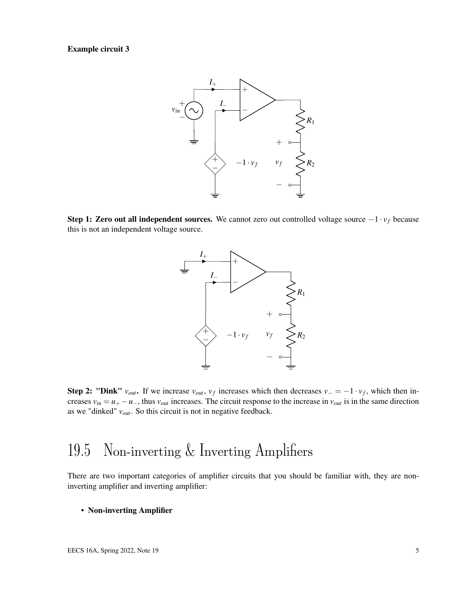#### Example circuit 3



Step 1: Zero out all independent sources. We cannot zero out controlled voltage source −1 · *v<sup>f</sup>* because this is not an independent voltage source.



Step 2: "Dink"  $v_{out}$ . If we increase  $v_{out}$ ,  $v_f$  increases which then decreases  $v = -1 \cdot v_f$ , which then increases  $v_{in} = u_+ - u_-,$  thus  $v_{out}$  increases. The circuit response to the increase in  $v_{out}$  is in the same direction as we "dinked" *vout*. So this circuit is not in negative feedback.

### 19.5 Non-inverting & Inverting Amplifiers

There are two important categories of amplifier circuits that you should be familiar with, they are noninverting amplifier and inverting amplifier:

• Non-inverting Amplifier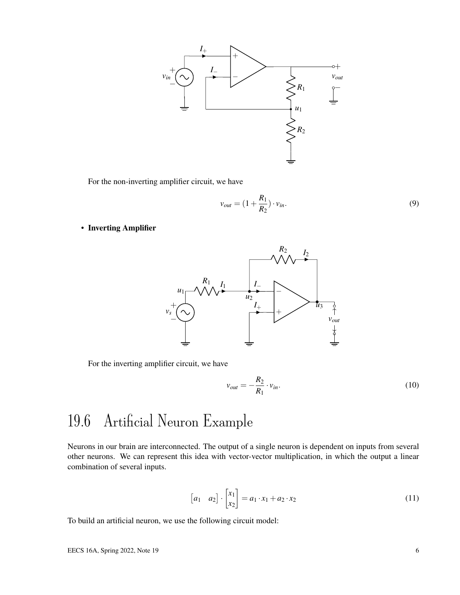

For the non-inverting amplifier circuit, we have

$$
v_{out} = (1 + \frac{R_1}{R_2}) \cdot v_{in}.
$$
\n(9)

• Inverting Amplifier



For the inverting amplifier circuit, we have

$$
v_{out} = -\frac{R_2}{R_1} \cdot v_{in}.\tag{10}
$$

## 19.6 Artificial Neuron Example

Neurons in our brain are interconnected. The output of a single neuron is dependent on inputs from several other neurons. We can represent this idea with vector-vector multiplication, in which the output a linear combination of several inputs.

$$
\begin{bmatrix} a_1 & a_2 \end{bmatrix} \cdot \begin{bmatrix} x_1 \\ x_2 \end{bmatrix} = a_1 \cdot x_1 + a_2 \cdot x_2 \tag{11}
$$

To build an artificial neuron, we use the following circuit model: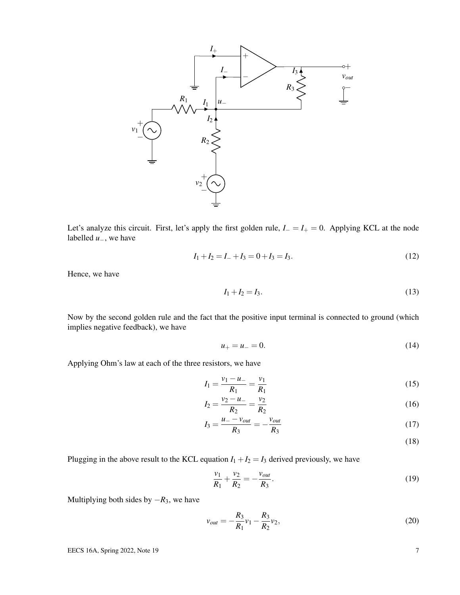

Let's analyze this circuit. First, let's apply the first golden rule, *I*<sup>−</sup> = *I*<sup>+</sup> = 0. Applying KCL at the node labelled *u*−, we have

$$
I_1 + I_2 = I_- + I_3 = 0 + I_3 = I_3. \tag{12}
$$

Hence, we have

$$
I_1 + I_2 = I_3. \t\t(13)
$$

Now by the second golden rule and the fact that the positive input terminal is connected to ground (which implies negative feedback), we have

$$
u_{+} = u_{-} = 0. \tag{14}
$$

Applying Ohm's law at each of the three resistors, we have

$$
I_1 = \frac{v_1 - u_-}{R_1} = \frac{v_1}{R_1} \tag{15}
$$

$$
I_2 = \frac{v_2 - u_-}{R_2} = \frac{v_2}{R_2} \tag{16}
$$

$$
I_3 = \frac{u_- - v_{out}}{R_3} = -\frac{v_{out}}{R_3} \tag{17}
$$

(18)

Plugging in the above result to the KCL equation  $I_1 + I_2 = I_3$  derived previously, we have

$$
\frac{v_1}{R_1} + \frac{v_2}{R_2} = -\frac{v_{out}}{R_3}.
$$
 (19)

Multiplying both sides by  $-R_3$ , we have

$$
v_{out} = -\frac{R_3}{R_1}v_1 - \frac{R_3}{R_2}v_2, \tag{20}
$$

EECS 16A, Spring 2022, Note 19  $\frac{7}{2}$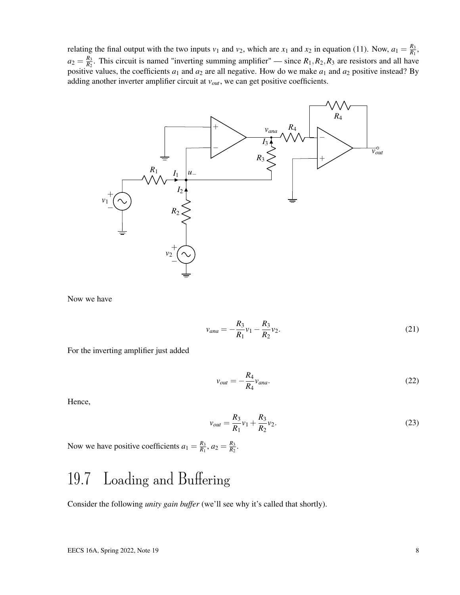relating the final output with the two inputs  $v_1$  and  $v_2$ , which are  $x_1$  and  $x_2$  in equation (11). Now,  $a_1 = \frac{R_3}{R_1}$  $\frac{R_3}{R_1}$ ,  $a_2 = \frac{R_3}{R_2}$  $\frac{R_3}{R_2}$ . This circuit is named "inverting summing amplifier" — since  $R_1, R_2, R_3$  are resistors and all have positive values, the coefficients  $a_1$  and  $a_2$  are all negative. How do we make  $a_1$  and  $a_2$  positive instead? By adding another inverter amplifier circuit at *vout*, we can get positive coefficients.



Now we have

$$
v_{ana} = -\frac{R_3}{R_1}v_1 - \frac{R_3}{R_2}v_2.
$$
 (21)

For the inverting amplifier just added

$$
v_{out} = -\frac{R_4}{R_4} v_{ana}.\tag{22}
$$

Hence,

$$
v_{out} = \frac{R_3}{R_1}v_1 + \frac{R_3}{R_2}v_2.
$$
 (23)

Now we have positive coefficients  $a_1 = \frac{R_3}{R_1}$  $\frac{R_3}{R_1}$ ,  $a_2 = \frac{R_3}{R_2}$  $\frac{R_3}{R_2}$ .

# 19.7 Loading and Buffering

Consider the following *unity gain buffer* (we'll see why it's called that shortly).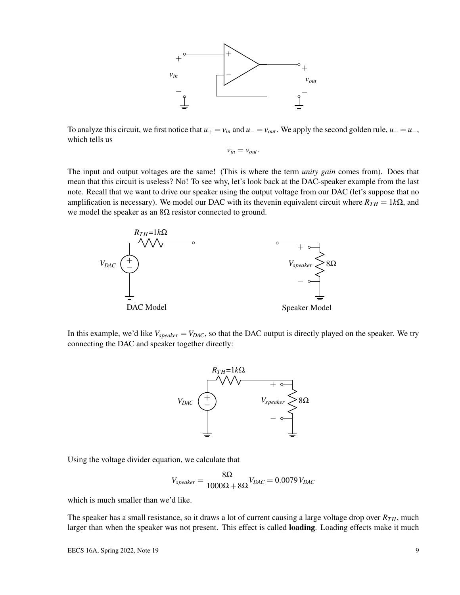

To analyze this circuit, we first notice that  $u_+ = v_{in}$  and  $u_- = v_{out}$ . We apply the second golden rule,  $u_+ = u_-,$ which tells us

 $v_{in} = v_{out}$ .

The input and output voltages are the same! (This is where the term *unity gain* comes from). Does that mean that this circuit is useless? No! To see why, let's look back at the DAC-speaker example from the last note. Recall that we want to drive our speaker using the output voltage from our DAC (let's suppose that no amplification is necessary). We model our DAC with its thevenin equivalent circuit where  $R_{TH} = 1k\Omega$ , and we model the speaker as an  $8\Omega$  resistor connected to ground.



In this example, we'd like  $V_{speaker} = V_{DAC}$ , so that the DAC output is directly played on the speaker. We try connecting the DAC and speaker together directly:



Using the voltage divider equation, we calculate that

$$
V_{speaker} = \frac{8\Omega}{1000\Omega + 8\Omega} V_{DAC} = 0.0079 V_{DAC}
$$

which is much smaller than we'd like.

The speaker has a small resistance, so it draws a lot of current causing a large voltage drop over  $R_{TH}$ , much larger than when the speaker was not present. This effect is called loading. Loading effects make it much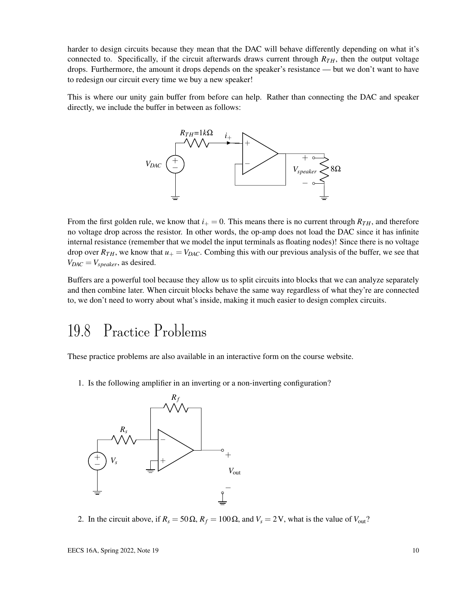harder to design circuits because they mean that the DAC will behave differently depending on what it's connected to. Specifically, if the circuit afterwards draws current through  $R_{TH}$ , then the output voltage drops. Furthermore, the amount it drops depends on the speaker's resistance — but we don't want to have to redesign our circuit every time we buy a new speaker!

This is where our unity gain buffer from before can help. Rather than connecting the DAC and speaker directly, we include the buffer in between as follows:



From the first golden rule, we know that  $i_{+} = 0$ . This means there is no current through  $R_{TH}$ , and therefore no voltage drop across the resistor. In other words, the op-amp does not load the DAC since it has infinite internal resistance (remember that we model the input terminals as floating nodes)! Since there is no voltage drop over  $R_{TH}$ , we know that  $u_+ = V_{DAC}$ . Combing this with our previous analysis of the buffer, we see that  $V_{DAC} = V_{speaker}$ , as desired.

Buffers are a powerful tool because they allow us to split circuits into blocks that we can analyze separately and then combine later. When circuit blocks behave the same way regardless of what they're are connected to, we don't need to worry about what's inside, making it much easier to design complex circuits.

### 19.8 Practice Problems

These practice problems are also available in an interactive form on the course website.

1. Is the following amplifier in an inverting or a non-inverting configuration?



2. In the circuit above, if  $R_s = 50 \Omega$ ,  $R_f = 100 \Omega$ , and  $V_s = 2 V$ , what is the value of  $V_{\text{out}}$ ?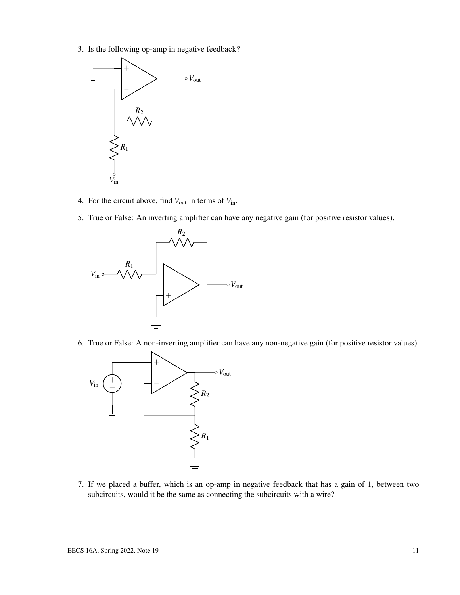3. Is the following op-amp in negative feedback?



- 4. For the circuit above, find *V*out in terms of *V*in.
- 5. True or False: An inverting amplifier can have any negative gain (for positive resistor values).



6. True or False: A non-inverting amplifier can have any non-negative gain (for positive resistor values).



7. If we placed a buffer, which is an op-amp in negative feedback that has a gain of 1, between two subcircuits, would it be the same as connecting the subcircuits with a wire?